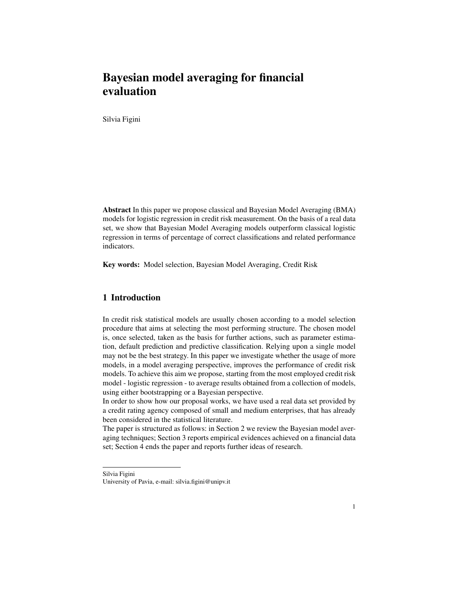# Bayesian model averaging for financial evaluation

Silvia Figini

Abstract In this paper we propose classical and Bayesian Model Averaging (BMA) models for logistic regression in credit risk measurement. On the basis of a real data set, we show that Bayesian Model Averaging models outperform classical logistic regression in terms of percentage of correct classifications and related performance indicators.

Key words: Model selection, Bayesian Model Averaging, Credit Risk

# 1 Introduction

In credit risk statistical models are usually chosen according to a model selection procedure that aims at selecting the most performing structure. The chosen model is, once selected, taken as the basis for further actions, such as parameter estimation, default prediction and predictive classification. Relying upon a single model may not be the best strategy. In this paper we investigate whether the usage of more models, in a model averaging perspective, improves the performance of credit risk models. To achieve this aim we propose, starting from the most employed credit risk model - logistic regression - to average results obtained from a collection of models, using either bootstrapping or a Bayesian perspective.

In order to show how our proposal works, we have used a real data set provided by a credit rating agency composed of small and medium enterprises, that has already been considered in the statistical literature.

The paper is structured as follows: in Section 2 we review the Bayesian model averaging techniques; Section 3 reports empirical evidences achieved on a financial data set; Section 4 ends the paper and reports further ideas of research.

Silvia Figini

University of Pavia, e-mail: silvia.figini@unipv.it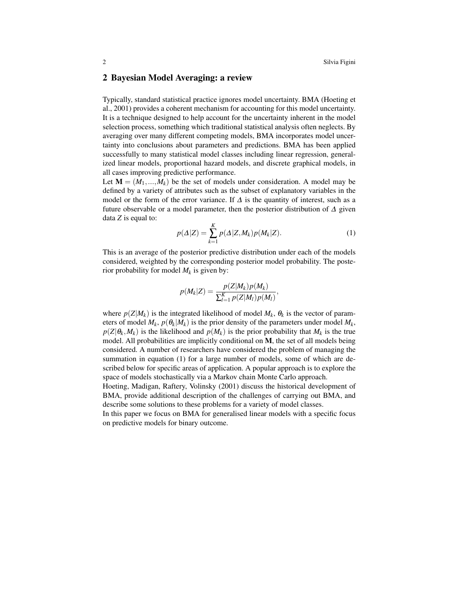#### 2 Bayesian Model Averaging: a review

Typically, standard statistical practice ignores model uncertainty. BMA (Hoeting et al., 2001) provides a coherent mechanism for accounting for this model uncertainty. It is a technique designed to help account for the uncertainty inherent in the model selection process, something which traditional statistical analysis often neglects. By averaging over many different competing models, BMA incorporates model uncertainty into conclusions about parameters and predictions. BMA has been applied successfully to many statistical model classes including linear regression, generalized linear models, proportional hazard models, and discrete graphical models, in all cases improving predictive performance.

Let  $M = (M_1, \ldots, M_k)$  be the set of models under consideration. A model may be defined by a variety of attributes such as the subset of explanatory variables in the model or the form of the error variance. If  $\Delta$  is the quantity of interest, such as a future observable or a model parameter, then the posterior distribution of  $\Delta$  given data *Z* is equal to:

$$
p(\Delta|Z) = \sum_{k=1}^{K} p(\Delta|Z, M_k)p(M_k|Z). \tag{1}
$$

This is an average of the posterior predictive distribution under each of the models considered, weighted by the corresponding posterior model probability. The posterior probability for model  $M_k$  is given by:

$$
p(M_k|Z) = \frac{p(Z|M_k)p(M_k)}{\sum_{l=1}^K p(Z|M_l)p(M_l)},
$$

where  $p(Z|M_k)$  is the integrated likelihood of model  $M_k$ ,  $\theta_k$  is the vector of parameters of model  $M_k$ ,  $p(\theta_k|M_k)$  is the prior density of the parameters under model  $M_k$ ,  $p(Z|\theta_k, M_k)$  is the likelihood and  $p(M_k)$  is the prior probability that  $M_k$  is the true model. All probabilities are implicitly conditional on M, the set of all models being considered. A number of researchers have considered the problem of managing the summation in equation (1) for a large number of models, some of which are described below for specific areas of application. A popular approach is to explore the space of models stochastically via a Markov chain Monte Carlo approach.

Hoeting, Madigan, Raftery, Volinsky (2001) discuss the historical development of BMA, provide additional description of the challenges of carrying out BMA, and describe some solutions to these problems for a variety of model classes.

In this paper we focus on BMA for generalised linear models with a specific focus on predictive models for binary outcome.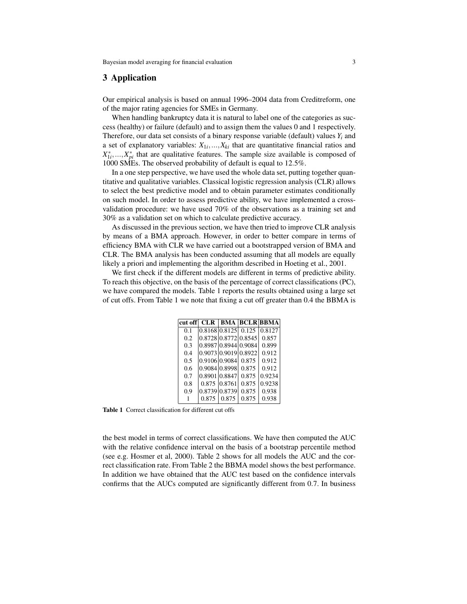### 3 Application

Our empirical analysis is based on annual 1996–2004 data from Creditreform, one of the major rating agencies for SMEs in Germany.

When handling bankruptcy data it is natural to label one of the categories as success (healthy) or failure (default) and to assign them the values 0 and 1 respectively. Therefore, our data set consists of a binary response variable (default) values  $Y_i$  and a set of explanatory variables:  $X_{1i},...,X_{ki}$  that are quantitative financial ratios and  $X_{1i}^*,...,X_{pi}^*$  that are qualitative features. The sample size available is composed of 1000 SMEs. The observed probability of default is equal to 12*.*5%.

In a one step perspective, we have used the whole data set, putting together quantitative and qualitative variables. Classical logistic regression analysis (CLR) allows to select the best predictive model and to obtain parameter estimates conditionally on such model. In order to assess predictive ability, we have implemented a crossvalidation procedure: we have used 70% of the observations as a training set and 30% as a validation set on which to calculate predictive accuracy.

As discussed in the previous section, we have then tried to improve CLR analysis by means of a BMA approach. However, in order to better compare in terms of efficiency BMA with CLR we have carried out a bootstrapped version of BMA and CLR. The BMA analysis has been conducted assuming that all models are equally likely a priori and implementing the algorithm described in Hoeting et al., 2001.

We first check if the different models are different in terms of predictive ability. To reach this objective, on the basis of the percentage of correct classifications (PC), we have compared the models. Table 1 reports the results obtained using a large set of cut offs. From Table 1 we note that fixing a cut off greater than 0.4 the BBMA is

| cut off |               |                      |       | <b>CLR   BMA  BCLR BBMA </b> |
|---------|---------------|----------------------|-------|------------------------------|
| 0.1     |               | 0.8168 0.8125 0.125  |       | 0.8127                       |
| 0.2     |               | 0.8728 0.8772 0.8545 |       | 0.857                        |
| 0.3     |               | 0.8987 0.8944 0.9084 |       | 0.899                        |
| 0.4     |               | 0.9073 0.9019 0.8922 |       | 0.912                        |
| 0.5     |               | 0.9106 0.9084 0.875  |       | 0.912                        |
| 0.6     | 0.9084 0.8998 |                      | 0.875 | 0.912                        |
| 0.7     | 0.8901 0.8847 |                      | 0.875 | 0.9234                       |
| 0.8     |               | 0.875 0.8761         | 0.875 | 0.9238                       |
| 0.9     | 0.8739 0.8739 |                      | 0.875 | 0.938                        |
|         | 0.875         | 0.875                | 0.875 | 0.938                        |

Table 1 Correct classification for different cut offs

the best model in terms of correct classifications. We have then computed the AUC with the relative confidence interval on the basis of a bootstrap percentile method (see e.g. Hosmer et al, 2000). Table 2 shows for all models the AUC and the correct classification rate. From Table 2 the BBMA model shows the best performance. In addition we have obtained that the AUC test based on the confidence intervals confirms that the AUCs computed are significantly different from 0*.*7. In business